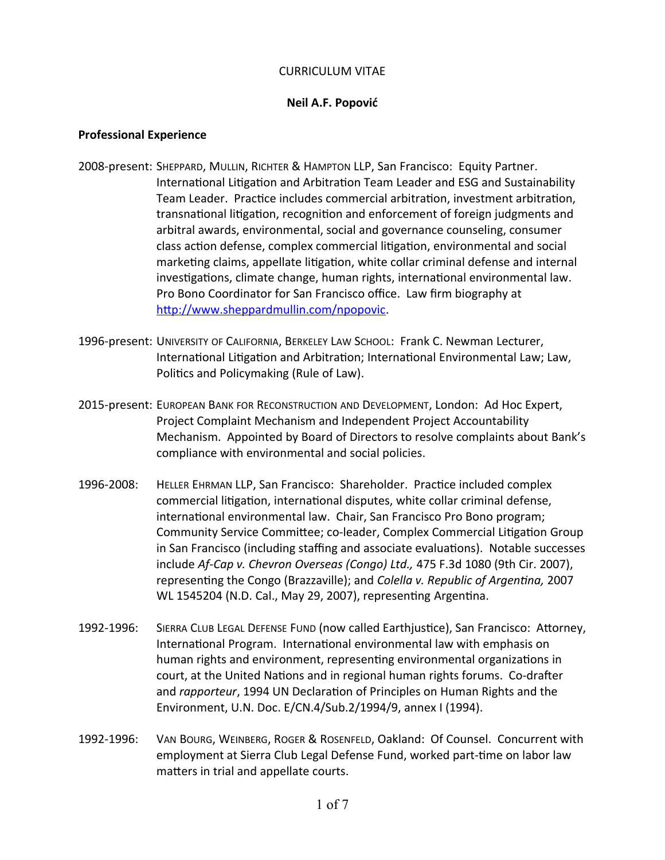### CURRICULUM VITAE

## **Neil A.F. Popović**

### **Professional Experience**

- 2008-present: SHEPPARD, MULLIN, RICHTER & HAMPTON LLP, San Francisco: Equity Partner. International Litigation and Arbitration Team Leader and ESG and Sustainability Team Leader. Practice includes commercial arbitration, investment arbitration, transnational litigation, recognition and enforcement of foreign judgments and arbitral awards, environmental, social and governance counseling, consumer class action defense, complex commercial litigation, environmental and social marketing claims, appellate litigation, white collar criminal defense and internal investigations, climate change, human rights, international environmental law. Pro Bono Coordinator for San Francisco office. Law firm biography at <http://www.sheppardmullin.com/npopovic>.
- 1996-present: UNIVERSITY OF CALIFORNIA, BERKELEY LAW SCHOOL: Frank C. Newman Lecturer, International Litigation and Arbitration; International Environmental Law; Law, Politics and Policymaking (Rule of Law).
- 2015-present: EUROPEAN BANK FOR RECONSTRUCTION AND DEVELOPMENT, London: Ad Hoc Expert, Project Complaint Mechanism and Independent Project Accountability Mechanism. Appointed by Board of Directors to resolve complaints about Bank's compliance with environmental and social policies.
- 1996-2008: HELLER EHRMAN LLP, San Francisco: Shareholder. Practice included complex commercial litigation, international disputes, white collar criminal defense, international environmental law. Chair, San Francisco Pro Bono program; Community Service Committee; co-leader, Complex Commercial Litigation Group in San Francisco (including staffing and associate evaluations). Notable successes include *Af-Cap v. Chevron Overseas (Congo) Ltd.,* 475 F.3d 1080 (9th Cir. 2007), representing the Congo (Brazzaville); and *Colella v. Republic of Argentina,* 2007 WL 1545204 (N.D. Cal., May 29, 2007), representing Argentina.
- 1992-1996: SIERRA CLUB LEGAL DEFENSE FUND (now called Earthjustice), San Francisco: Attorney, International Program. International environmental law with emphasis on human rights and environment, representing environmental organizations in court, at the United Nations and in regional human rights forums. Co-drafter and *rapporteur*, 1994 UN Declaration of Principles on Human Rights and the Environment, U.N. Doc. E/CN.4/Sub.2/1994/9, annex I (1994).
- 1992-1996: VAN BOURG, WEINBERG, ROGER & ROSENFELD, Oakland: Of Counsel. Concurrent with employment at Sierra Club Legal Defense Fund, worked part-time on labor law matters in trial and appellate courts.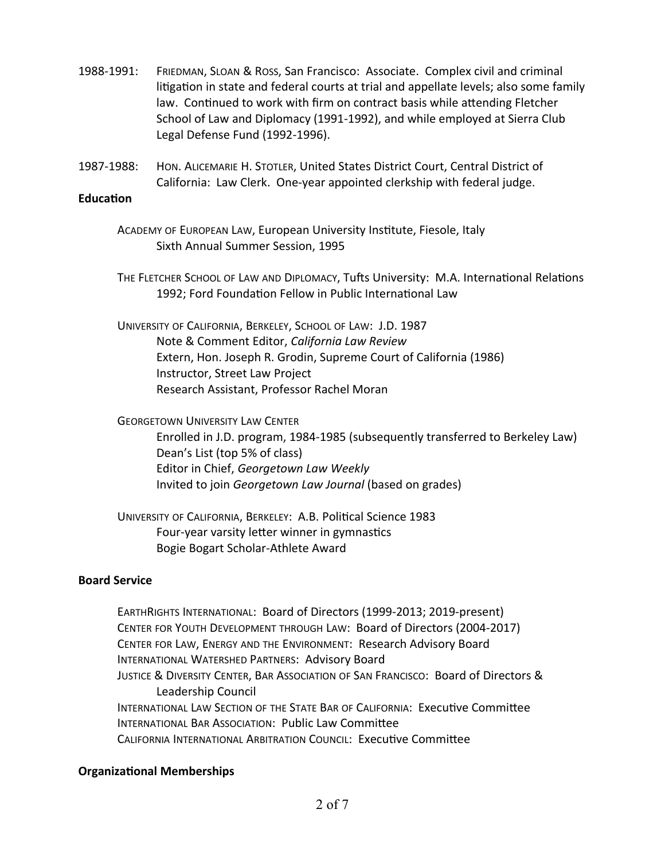- 1988-1991: FRIEDMAN, SLOAN & ROSS, San Francisco: Associate. Complex civil and criminal litigation in state and federal courts at trial and appellate levels; also some family law. Continued to work with firm on contract basis while attending Fletcher School of Law and Diplomacy (1991-1992), and while employed at Sierra Club Legal Defense Fund (1992-1996).
- 1987-1988: HON. ALICEMARIE H. STOTLER, United States District Court, Central District of California: Law Clerk. One-year appointed clerkship with federal judge.

### **Education**

- ACADEMY OF EUROPEAN LAW, European University Institute, Fiesole, Italy Sixth Annual Summer Session, 1995
- THE FLETCHER SCHOOL OF LAW AND DIPLOMACY, Tufts University: M.A. International Relations 1992; Ford Foundation Fellow in Public International Law
- UNIVERSITY OF CALIFORNIA, BERKELEY, SCHOOL OF LAW: J.D. 1987 Note & Comment Editor, *California Law Review* Extern, Hon. Joseph R. Grodin, Supreme Court of California (1986) Instructor, Street Law Project Research Assistant, Professor Rachel Moran

GEORGETOWN UNIVERSITY LAW CENTER

Enrolled in J.D. program, 1984-1985 (subsequently transferred to Berkeley Law) Dean's List (top 5% of class) Editor in Chief, *Georgetown Law Weekly* Invited to join *Georgetown Law Journal* (based on grades)

UNIVERSITY OF CALIFORNIA, BERKELEY: A.B. Political Science 1983 Four-year varsity letter winner in gymnastics Bogie Bogart Scholar-Athlete Award

# **Board Service**

EARTHRIGHTS INTERNATIONAL: Board of Directors (1999-2013; 2019-present) CENTER FOR YOUTH DEVELOPMENT THROUGH LAW: Board of Directors (2004-2017) CENTER FOR LAW, ENERGY AND THE ENVIRONMENT: Research Advisory Board INTERNATIONAL WATERSHED PARTNERS: Advisory Board JUSTICE & DIVERSITY CENTER, BAR ASSOCIATION OF SAN FRANCISCO: Board of Directors & Leadership Council INTERNATIONAL LAW SECTION OF THE STATE BAR OF CALIFORNIA: Executive Committee INTERNATIONAL BAR ASSOCIATION: Public Law Committee CALIFORNIA INTERNATIONAL ARBITRATION COUNCIL: Executive Committee

## **Organizational Memberships**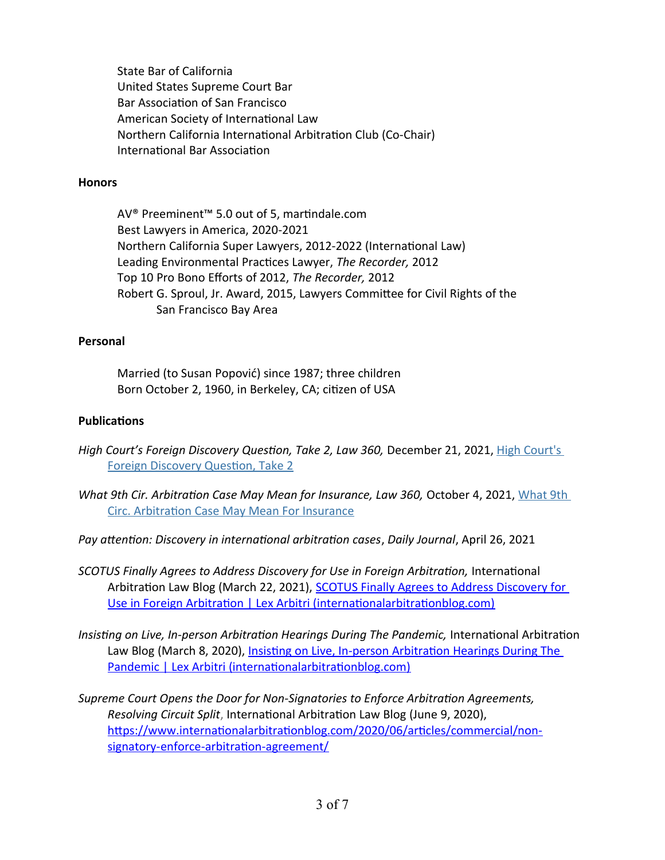State Bar of California United States Supreme Court Bar Bar Association of San Francisco American Society of International Law Northern California International Arbitration Club (Co-Chair) International Bar Association

### **Honors**

AV® Preeminent™ 5.0 out of 5, martindale.com Best Lawyers in America, 2020-2021 Northern California Super Lawyers, 2012-2022 (International Law) Leading Environmental Practices Lawyer, *The Recorder,* 2012 Top 10 Pro Bono Efforts of 2012, *The Recorder,* 2012 Robert G. Sproul, Jr. Award, 2015, Lawyers Committee for Civil Rights of the San Francisco Bay Area

## **Personal**

Married (to Susan Popović) since 1987; three children Born October 2, 1960, in Berkeley, CA; citizen of USA

## **Publications**

- *High Court's Foreign Discovery Question, Take 2, Law 360, December 21, 2021, High Court's* [Foreign Discovery Question, Take 2](https://www.law360.com/articles/1450760/high-court-s-foreign-discovery-question-take-2?ts_pk=02b348e7-ecd8-452b-8369-239fb8766fa6&utm_source=user-alerts&utm_medium=email&utm_campaign=tracked-search-alert)
- *[What 9th](https://www.sheppardmullin.com/media/publication/1955_What%209th%20Circ.%20Arbitration%20Case%20May%20Mean%20For%20Insurance.pdf) Cir. Arbitration Case May Mean for Insurance, Law 360, October 4, 2021, What 9th* [Circ. Arbitration Case May Mean For Insurance](https://www.sheppardmullin.com/media/publication/1955_What%209th%20Circ.%20Arbitration%20Case%20May%20Mean%20For%20Insurance.pdf)
- *Pay attention: Discovery in international arbitration cases*, *Daily Journal*, April 26, 2021
- *SCOTUS Finally Agrees to Address Discovery for Use in Foreign Arbitration,* International Arbitration Law Blog (March 22, 2021), [SCOTUS Finally Agrees to Address Discovery for](https://www.internationalarbitrationblog.com/2021/03/articles/transnational/permissibility-discovery-private-international-arbitration/)  [Use in Foreign Arbitration | Lex Arbitri \(internationalarbitrationblog.com\)](https://www.internationalarbitrationblog.com/2021/03/articles/transnational/permissibility-discovery-private-international-arbitration/)
- *[Insisting on Live, In-person Arbitration Hearings During The Pandemic,](https://www.internationalarbitrationblog.com/2021/03/articles/commercial/live-in-person-arbitration-hearings/)* International Arbitration Law Blog (March 8, 2020), [Insisting on Live, In-person Arbitration Hearings During The](https://www.internationalarbitrationblog.com/2021/03/articles/commercial/live-in-person-arbitration-hearings/)  [Pandemic | Lex Arbitri \(internationalarbitrationblog.com\)](https://www.internationalarbitrationblog.com/2021/03/articles/commercial/live-in-person-arbitration-hearings/)
- *Supreme Court Opens the Door for Non-Signatories to Enforce Arbitration Agreements, Resolving Circuit Split*, International Arbitration Law Blog (June 9, 2020), [https://www.internationalarbitrationblog.com/2020/06/articles/commercial/non](https://www.internationalarbitrationblog.com/2020/06/articles/commercial/non-signatory-enforce-arbitration-agreement/)[signatory-enforce-arbitration-agreement/](https://www.internationalarbitrationblog.com/2020/06/articles/commercial/non-signatory-enforce-arbitration-agreement/)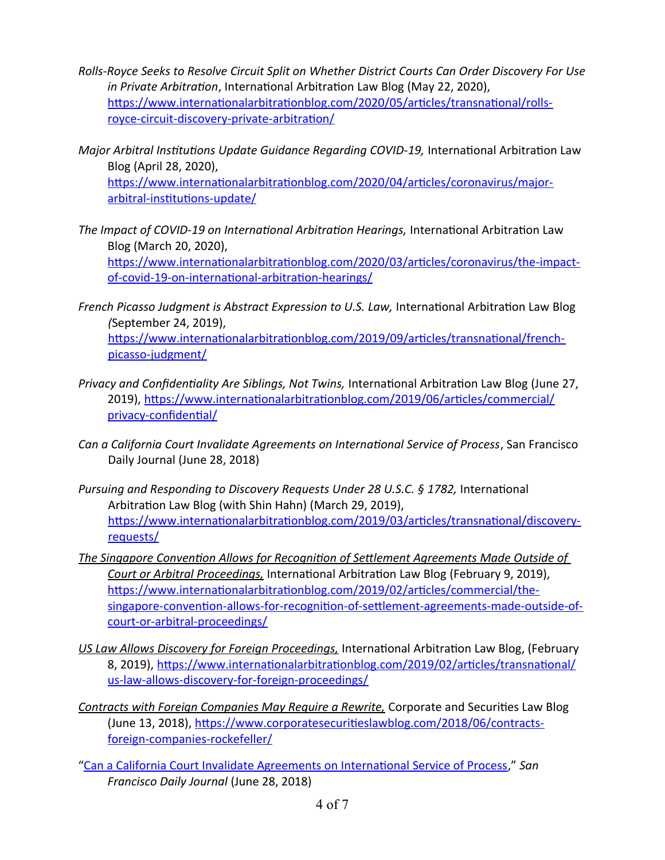- *Rolls-Royce Seeks to Resolve Circuit Split on Whether District Courts Can Order Discovery For Use in Private Arbitration*, International Arbitration Law Blog (May 22, 2020), [https://www.internationalarbitrationblog.com/2020/05/articles/transnational/rolls](https://www.internationalarbitrationblog.com/2020/05/articles/transnational/rolls-royce-circuit-discovery-private-arbitration/)[royce-circuit-discovery-private-arbitration/](https://www.internationalarbitrationblog.com/2020/05/articles/transnational/rolls-royce-circuit-discovery-private-arbitration/)
- *Major Arbitral Institutions Update Guidance Regarding COVID-19, International Arbitration Law* Blog (April 28, 2020), [https://www.internationalarbitrationblog.com/2020/04/articles/coronavirus/major](https://www.internationalarbitrationblog.com/2020/04/articles/coronavirus/major-arbitral-institutions-update/)[arbitral-institutions-update/](https://www.internationalarbitrationblog.com/2020/04/articles/coronavirus/major-arbitral-institutions-update/)
- *The Impact of COVID-19 on International Arbitration Hearings,* International Arbitration Law Blog (March 20, 2020), [https://www.internationalarbitrationblog.com/2020/03/articles/coronavirus/the-impact](https://www.internationalarbitrationblog.com/2020/03/articles/coronavirus/the-impact-of-covid-19-on-international-arbitration-hearings/)[of-covid-19-on-international-arbitration-hearings/](https://www.internationalarbitrationblog.com/2020/03/articles/coronavirus/the-impact-of-covid-19-on-international-arbitration-hearings/)
- *French Picasso Judgment is Abstract Expression to U.S. Law, International Arbitration Law Blog (*September 24, 2019), [https://www.internationalarbitrationblog.com/2019/09/articles/transnational/french](https://www.internationalarbitrationblog.com/2019/09/articles/transnational/french-picasso-judgment/)[picasso-judgment/](https://www.internationalarbitrationblog.com/2019/09/articles/transnational/french-picasso-judgment/)
- *Privacy and Confidentiality Are Siblings, Not Twins,* International Arbitration Law Blog (June 27, 2019), [https://www.internationalarbitrationblog.com/2019/06/articles/commercial/](https://www.internationalarbitrationblog.com/2019/06/articles/commercial/privacy-confidential/) [privacy-confidential/](https://www.internationalarbitrationblog.com/2019/06/articles/commercial/privacy-confidential/)
- *Can a California Court Invalidate Agreements on International Service of Process*, San Francisco Daily Journal (June 28, 2018)
- *Pursuing and Responding to Discovery Requests Under 28 U.S.C. § 1782,* International Arbitration Law Blog (with Shin Hahn) (March 29, 2019), [https://www.internationalarbitrationblog.com/2019/03/articles/transnational/discovery](https://www.internationalarbitrationblog.com/2019/03/articles/transnational/discovery-requests/)[requests/](https://www.internationalarbitrationblog.com/2019/03/articles/transnational/discovery-requests/)
- *[The Singapore Convention Allows for Recognition of Settlement Agreements Made Outside of](https://www.internationalarbitrationblog.com/2019/02/articles/uncategorized/the-singapore-convention-allows-for-recognition-of-settlement-agreements-made-outside-of-court-or-arbitral-proceedings/)  [Court or Arbitral Proceedings,](https://www.internationalarbitrationblog.com/2019/02/articles/uncategorized/the-singapore-convention-allows-for-recognition-of-settlement-agreements-made-outside-of-court-or-arbitral-proceedings/)* International Arbitration Law Blog (February 9, 2019), [https://www.internationalarbitrationblog.com/2019/02/articles/commercial/the](https://www.internationalarbitrationblog.com/2019/02/articles/commercial/the-singapore-convention-allows-for-recognition-of-settlement-agreements-made-outside-of-court-or-arbitral-proceedings/)[singapore-convention-allows-for-recognition-of-settlement-agreements-made-outside-of](https://www.internationalarbitrationblog.com/2019/02/articles/commercial/the-singapore-convention-allows-for-recognition-of-settlement-agreements-made-outside-of-court-or-arbitral-proceedings/)[court-or-arbitral-proceedings/](https://www.internationalarbitrationblog.com/2019/02/articles/commercial/the-singapore-convention-allows-for-recognition-of-settlement-agreements-made-outside-of-court-or-arbitral-proceedings/)
- *[US Law Allows Discovery for Foreign Proceedings,](https://www.internationalarbitrationblog.com/2019/02/articles/uncategorized/us-law-allows-discovery-for-foreign-proceedings/)* International Arbitration Law Blog, (February 8, 2019), [https://www.internationalarbitrationblog.com/2019/02/articles/transnational/](https://www.internationalarbitrationblog.com/2019/02/articles/transnational/us-law-allows-discovery-for-foreign-proceedings/) [us-law-allows-discovery-for-foreign-proceedings/](https://www.internationalarbitrationblog.com/2019/02/articles/transnational/us-law-allows-discovery-for-foreign-proceedings/)
- *[Contracts with Foreign Companies May Require a Rewrite,](https://www.corporatesecuritieslawblog.com/2018/06/contracts-foreign-companies-rockefeller/)* Corporate and Securities Law Blog (June 13, 2018), [https://www.corporatesecuritieslawblog.com/2018/06/contracts](https://www.corporatesecuritieslawblog.com/2018/06/contracts-foreign-companies-rockefeller/)[foreign-companies-rockefeller/](https://www.corporatesecuritieslawblog.com/2018/06/contracts-foreign-companies-rockefeller/)
- ["Can a California Court Invalidate Agreements on International Service of Process,](https://www.sheppardmullin.com/publications-articles-2757.html)" *San Francisco Daily Journal* (June 28, 2018)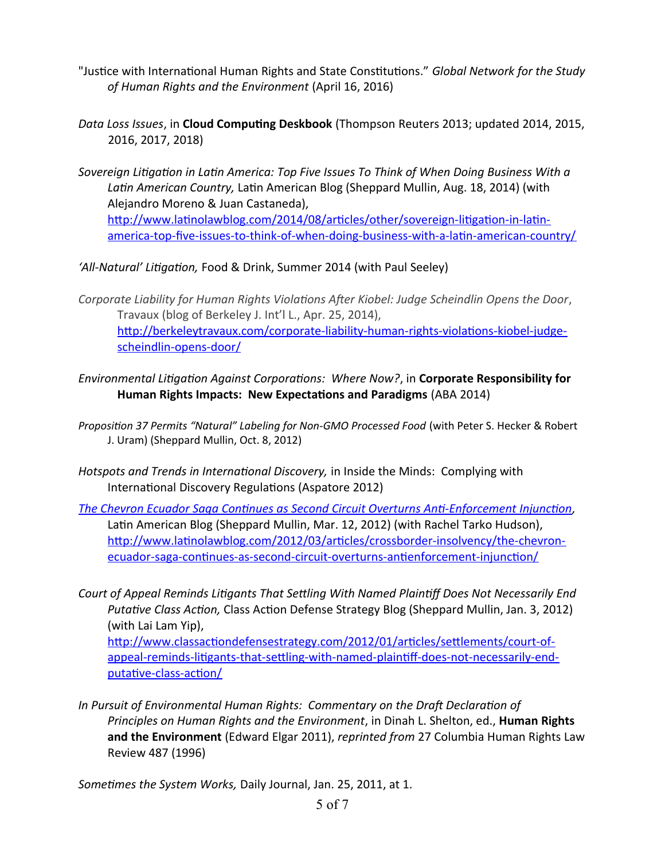- "Justice with International Human Rights and State Constitutions." *Global Network for the Study of Human Rights and the Environment* (April 16, 2016)
- *Data Loss Issues*, in **Cloud Computing Deskbook** (Thompson Reuters 2013; updated 2014, 2015, 2016, 2017, 2018)
- *Sovereign Litigation in Latin America: Top Five Issues To Think of When Doing Business With a Latin American Country,* Latin American Blog (Sheppard Mullin, Aug. 18, 2014) (with Alejandro Moreno & Juan Castaneda), [http://www.latinolawblog.com/2014/08/articles/other/sovereign-litigation-in-latin](http://www.latinolawblog.com/2014/08/articles/other/sovereign-litigation-in-latin-america-top-five-issues-to-think-of-when-doing-business-with-a-latin-american-country/)[america-top-five-issues-to-think-of-when-doing-business-with-a-latin-american-country/](http://www.latinolawblog.com/2014/08/articles/other/sovereign-litigation-in-latin-america-top-five-issues-to-think-of-when-doing-business-with-a-latin-american-country/)

*'All-Natural' Litigation,* Food & Drink, Summer 2014 (with Paul Seeley)

*Corporate Liability for Human Rights Violations After Kiobel: Judge Scheindlin Opens the Door*, Travaux (blog of Berkeley J. Int'l L., Apr. 25, 2014), [http://berkeleytravaux.com/corporate-liability-human-rights-violations-kiobel-judge](http://berkeleytravaux.com/corporate-liability-human-rights-violations-kiobel-judge-scheindlin-opens-door/)[scheindlin-opens-door/](http://berkeleytravaux.com/corporate-liability-human-rights-violations-kiobel-judge-scheindlin-opens-door/)

- *Environmental Litigation Against Corporations: Where Now?*, in **Corporate Responsibility for Human Rights Impacts: New Expectations and Paradigms** (ABA 2014)
- *Proposition 37 Permits "Natural" Labeling for Non-GMO Processed Food* (with Peter S. Hecker & Robert J. Uram) (Sheppard Mullin, Oct. 8, 2012)
- *Hotspots and Trends in International Discovery,* in Inside the Minds: Complying with International Discovery Regulations (Aspatore 2012)
- *[The Chevron Ecuador Saga Continues as Second Circuit Overturns Anti-Enforcement Injunction](http://www.latinolawblog.com/2012/03/articles/crossborder-insolvency/the-chevron-ecuador-saga-continues-as-second-circuit-overturns-antienforcement-injunction/),* Latin American Blog (Sheppard Mullin, Mar. 12, 2012) (with Rachel Tarko Hudson), http://www.latinolawblog.com/2012/03/articles/crossborder-insolvency/the-chevronecuador-saga-continues-as-second-circuit-overturns-antienforcement-injunction/
- *Court of Appeal Reminds Litigants That Settling With Named Plaintiff Does Not Necessarily End Putative Class Action,* Class Action Defense Strategy Blog (Sheppard Mullin, Jan. 3, 2012) (with Lai Lam Yip),

[http://www.classactiondefensestrategy.com/2012/01/articles/settlements/court-of](http://www.classactiondefensestrategy.com/2012/01/articles/settlements/court-of-appeal-reminds-litigants-that-settling-with-named-plaintiff-does-not-necessarily-end-putative-class-action/)[appeal-reminds-litigants-that-settling-with-named-plaintiff-does-not-necessarily-end](http://www.classactiondefensestrategy.com/2012/01/articles/settlements/court-of-appeal-reminds-litigants-that-settling-with-named-plaintiff-does-not-necessarily-end-putative-class-action/)[putative-class-action/](http://www.classactiondefensestrategy.com/2012/01/articles/settlements/court-of-appeal-reminds-litigants-that-settling-with-named-plaintiff-does-not-necessarily-end-putative-class-action/)

*In Pursuit of Environmental Human Rights: Commentary on the Draft Declaration of Principles on Human Rights and the Environment*, in Dinah L. Shelton, ed., **Human Rights and the Environment** (Edward Elgar 2011), *reprinted from* 27 Columbia Human Rights Law Review 487 (1996)

*Sometimes the System Works,* Daily Journal, Jan. 25, 2011, at 1.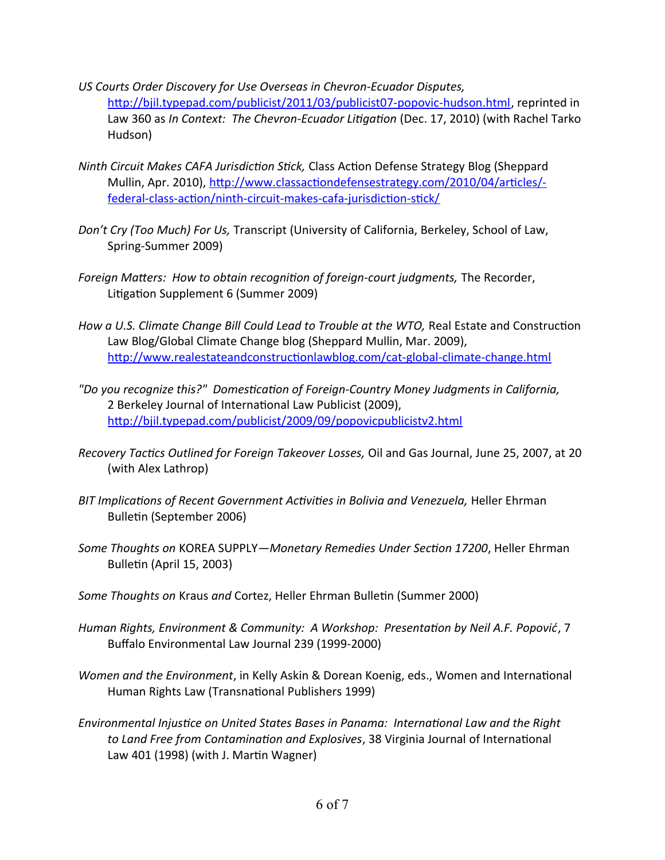- *US Courts Order Discovery for Use Overseas in Chevron-Ecuador Disputes,*  [http://bjil.typepad.com/publicist/2011/03/publicist07-popovic-hudson.html,](http://bjil.typepad.com/publicist/2011/03/publicist07-popovic-hudson.html) reprinted in Law 360 as *In Context: The Chevron-Ecuador Litigation* (Dec. 17, 2010) (with Rachel Tarko Hudson)
- *Ninth Circuit Makes CAFA Jurisdiction Stick,* Class Action Defense Strategy Blog (Sheppard Mullin, Apr. 2010), [http://www.classactiondefensestrategy.com/2010/04/articles/](http://www.classactiondefensestrategy.com/2010/04/articles/-federal-class-action/ninth-circuit-makes-cafa-jurisdiction-stick/) [federal-class-action/ninth-circuit-makes-cafa-jurisdiction-stick/](http://www.classactiondefensestrategy.com/2010/04/articles/-federal-class-action/ninth-circuit-makes-cafa-jurisdiction-stick/)
- *Don't Cry (Too Much) For Us,* Transcript (University of California, Berkeley, School of Law, Spring-Summer 2009)
- *Foreign Matters: How to obtain recognition of foreign-court judgments,* The Recorder, Litigation Supplement 6 (Summer 2009)
- *How a U.S. Climate Change Bill Could Lead to Trouble at the WTO,* Real Estate and Construction Law Blog/Global Climate Change blog (Sheppard Mullin, Mar. 2009), <http://www.realestateandconstructionlawblog.com/cat-global-climate-change.html>
- *"Do you recognize this?" Domestication of Foreign-Country Money Judgments in California,* 2 Berkeley Journal of International Law Publicist (2009), http://bjil.typepad.com/publicist/2009/09/popovicpublicistv2.html
- *Recovery Tactics Outlined for Foreign Takeover Losses,* Oil and Gas Journal, June 25, 2007, at 20 (with Alex Lathrop)
- *BIT Implications of Recent Government Activities in Bolivia and Venezuela,* Heller Ehrman Bulletin (September 2006)
- *Some Thoughts on* KOREA SUPPLY*—Monetary Remedies Under Section 17200*, Heller Ehrman Bulletin (April 15, 2003)
- *Some Thoughts on* Kraus *and* Cortez, Heller Ehrman Bulletin (Summer 2000)
- *Human Rights, Environment & Community: A Workshop: Presentation by Neil A.F. Popović*, 7 Buffalo Environmental Law Journal 239 (1999-2000)
- *Women and the Environment*, in Kelly Askin & Dorean Koenig, eds., Women and International Human Rights Law (Transnational Publishers 1999)
- *Environmental Injustice on United States Bases in Panama: International Law and the Right to Land Free from Contamination and Explosives*, 38 Virginia Journal of International Law 401 (1998) (with J. Martin Wagner)